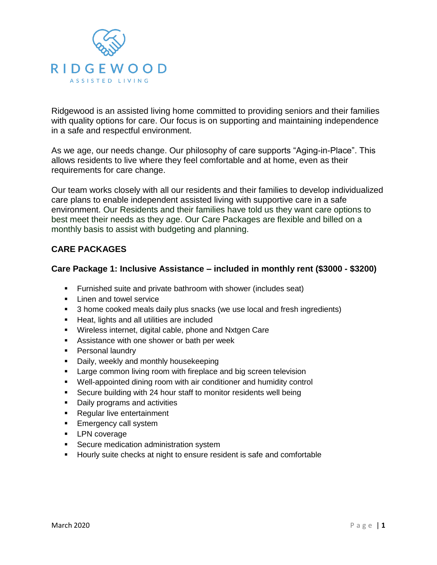

Ridgewood is an assisted living home committed to providing seniors and their families with quality options for care. Our focus is on supporting and maintaining independence in a safe and respectful environment.

As we age, our needs change. Our philosophy of care supports "Aging-in-Place". This allows residents to live where they feel comfortable and at home, even as their requirements for care change.

Our team works closely with all our residents and their families to develop individualized care plans to enable independent assisted living with supportive care in a safe environment. Our Residents and their families have told us they want care options to best meet their needs as they age. Our Care Packages are flexible and billed on a monthly basis to assist with budgeting and planning.

# **CARE PACKAGES**

#### **Care Package 1: Inclusive Assistance – included in monthly rent (\$3000 - \$3200)**

- **Furnished suite and private bathroom with shower (includes seat)**
- **Linen and towel service**
- <sup>3</sup> 3 home cooked meals daily plus snacks (we use local and fresh ingredients)
- **Heat, lights and all utilities are included**
- Wireless internet, digital cable, phone and Nxtgen Care
- **Assistance with one shower or bath per week**
- **Personal laundry**
- Daily, weekly and monthly housekeeping
- **Large common living room with fireplace and big screen television**
- Well-appointed dining room with air conditioner and humidity control
- **Secure building with 24 hour staff to monitor residents well being**
- **Daily programs and activities**
- **Regular live entertainment**
- **Emergency call system**
- **-** LPN coverage
- **Secure medication administration system**
- **Hourly suite checks at night to ensure resident is safe and comfortable**